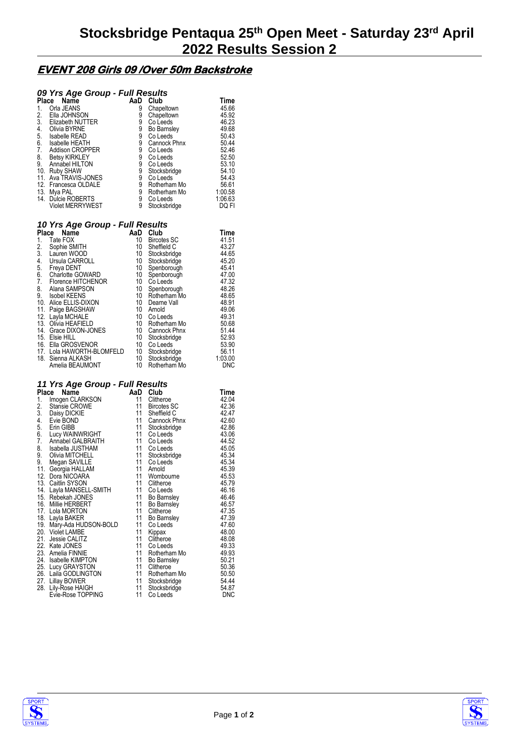# **EVENT 208 Girls 09 /Over 50m Backstroke**

## *09 Yrs Age Group - Full Results*

| <b>Place</b> | Name                    | AaD | Club         | Time    |
|--------------|-------------------------|-----|--------------|---------|
| 1.           | Orla JEANS              | 9   | Chapeltown   | 45.66   |
| 2.           | Ella JOHNSON            | 9   | Chapeltown   | 45.92   |
| 3.           | Elizabeth NUTTER        | 9   | Co Leeds     | 46.23   |
| 4.           | Olivia BYRNE            | 9   | Bo Barnsley  | 49.68   |
| 5.           | <b>Isabelle READ</b>    | 9   | Co Leeds     | 50.43   |
| 6.           | <b>Isabelle HEATH</b>   | 9   | Cannock Phnx | 50.44   |
| 7.           | <b>Addison CROPPER</b>  | 9   | Co Leeds     | 52.46   |
| 8.           | <b>Betsy KIRKLEY</b>    | 9   | Co Leeds     | 52.50   |
| 9.           | Annabel HILTON          | 9   | Co Leeds     | 53.10   |
| 10.          | <b>Ruby SHAW</b>        | 9   | Stocksbridge | 54.10   |
| 11.          | Ava TRAVIS-JONES        | 9   | Co Leeds     | 54.43   |
|              | 12. Francesca OLDALE    | 9   | Rotherham Mo | 56.61   |
| 13.          | Mya PAL                 | 9   | Rotherham Mo | 1:00.58 |
|              | 14. Dulcie ROBERTS      | 9   | Co Leeds     | 1:06.63 |
|              | <b>Violet MERRYWEST</b> | 9   | Stocksbridge | DQ FI   |

### *10 Yrs Age Group - Full Results*

| Place<br>Name |                       | AaD | Club               | Time       |
|---------------|-----------------------|-----|--------------------|------------|
| 1.            | Tate FOX              | 10  | <b>Bircotes SC</b> | 41.51      |
| 2.            | Sophie SMITH          | 10  | Sheffield C        | 43.27      |
| 3.            | Lauren WOOD           | 10  | Stocksbridge       | 44.65      |
| 4.            | Ursula CARROLL        | 10  | Stocksbridge       | 45.20      |
| 5.            | Freya DENT            | 10  | Spenborough        | 45.41      |
| 6.            | Charlotte GOWARD      | 10  | Spenborough        | 47.00      |
| 7.            | Florence HITCHENOR    | 10  | Co Leeds           | 47.32      |
| 8.            | Alana SAMPSON         | 10  | Spenborough        | 48.26      |
| 9.            | Isobel KEENS          | 10  | Rotherham Mo       | 48.65      |
|               | 10. Alice ELLIS-DIXON | 10  | Dearne Vall        | 48.91      |
| 11.           | Paige BAGSHAW         | 10  | Arnold             | 49.06      |
|               | 12. Layla MCHALE      | 10  | Co Leeds           | 49.31      |
|               | 13. Olivia HEAFIELD   | 10  | Rotherham Mo       | 50.68      |
| 14.           | Grace DIXON-JONES     | 10  | Cannock Phnx       | 51.44      |
|               | 15. Elsie HILL        | 10  | Stocksbridge       | 52.93      |
|               | 16. Ella GROSVENOR    | 10  | Co Leeds           | 53.90      |
| 17.           | Lola HAWORTH-BLOMFELD | 10  | Stocksbridge       | 56.11      |
|               | 18. Sienna ALKASH     | 10  | Stocksbridge       | 1:03.00    |
|               | Amelia BEAUMONT       | 10  | Rotherham Mo       | <b>DNC</b> |

### *11 Yrs Age Group - Full Results*

| Place | Name                     | AaD | Club               | Time  |
|-------|--------------------------|-----|--------------------|-------|
| 1.    | Imogen CLARKSON          | 11  | Clitheroe          | 42.04 |
| 2.    | Stansie CROWE            | 11  | Bircotes SC        | 42.36 |
| 3.    | Daisy DICKIE             | 11  | Sheffield C        | 42.47 |
| 4.    | Evie BOND                | 11  | Cannock Phnx       | 42.60 |
| 5.    | Erin GIBB                | 11  | Stocksbridge       | 42.86 |
| 6.    | Lucy WAINWRIGHT          | 11  | Co Leeds           | 43.06 |
| 7.    | Annabel GALBRAITH        |     | 11 Co Leeds        | 44.52 |
| 8.    | Isabella JUSTHAM         | 11  | Co Leeds           | 45.05 |
| 9.    | Olivia MITCHELL          |     | 11 Stocksbridge    | 45.34 |
| 9.    | Megan SAVILLE            | 11  | Co Leeds           | 45.34 |
|       | 11. Georgia HALLAM       | 11  | Arnold             | 45.39 |
|       | 12. Dora NICOARA         | 11  | Wombourne          | 45.53 |
|       | 13. Caitlin SYSON        | 11  | Clitheroe          | 45.79 |
|       | 14. Layla MANSELL-SMITH  |     | 11 Co Leeds        | 46.16 |
|       | 15. Rebekah JONES        | 11  | <b>Bo Barnsley</b> | 46.46 |
|       | 16. Millie HERBERT       | 11  | Bo Barnsley        | 46.57 |
|       | 17. Lola MORTON          | 11  | Clitheroe          | 47.35 |
|       | 18. Layla BAKER          | 11  | <b>Bo Barnsley</b> | 47.39 |
|       | 19. Mary-Ada HUDSON-BOLD | 11  | Co Leeds           | 47.60 |
|       | 20. Violet LAMBE         | 11  | Kippax             | 48.00 |
|       | 21. Jessie CALITZ        | 11  | Clitheroe          | 48.08 |
|       | 22. Kate JONES           | 11  | Co Leeds           | 49.33 |
|       | 23. Amelia FINNIE        | 11  | Rotherham Mo       | 49.93 |
|       | 24. Isabelle KIMPTON     | 11  | <b>Bo Barnsley</b> | 50.21 |
|       | 25. Lucy GRAYSTON        | 11  | Clitheroe          | 50.36 |
|       | 26. Laila GODLINGTON     | 11  | Rotherham Mo       | 50.50 |
|       | 27. Lillay BOWER         | 11  | Stocksbridge       | 54.44 |
| 28.   | Lily-Rose HAIGH          | 11  | Stocksbridge       | 54.87 |
|       | Evie-Rose TOPPING        | 11  | Co Leeds           | DNC   |